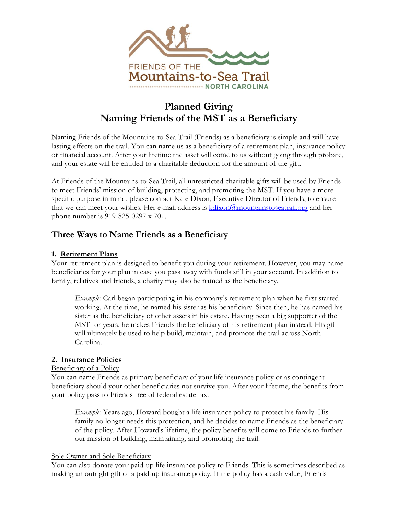

# **Planned Giving Naming Friends of the MST as a Beneficiary**

Naming Friends of the Mountains-to-Sea Trail (Friends) as a beneficiary is simple and will have lasting effects on the trail. You can name us as a beneficiary of a retirement plan, insurance policy or financial account. After your lifetime the asset will come to us without going through probate, and your estate will be entitled to a charitable deduction for the amount of the gift.

At Friends of the Mountains-to-Sea Trail, all unrestricted charitable gifts will be used by Friends to meet Friends' mission of building, protecting, and promoting the MST. If you have a more specific purpose in mind, please contact Kate Dixon, Executive Director of Friends, to ensure that we can meet your wishes. Her e-mail address is [kdixon@mountainstoseatrail.org](mailto:kdixon@mountainstoseatrail.org) and her phone number is 919-825-0297 x 701.

## **Three Ways to Name Friends as a Beneficiary**

## **1. Retirement Plans**

Your retirement plan is designed to benefit you during your retirement. However, you may name beneficiaries for your plan in case you pass away with funds still in your account. In addition to family, relatives and friends, a charity may also be named as the beneficiary.

*Example:* Carl began participating in his company's retirement plan when he first started working. At the time, he named his sister as his beneficiary. Since then, he has named his sister as the beneficiary of other assets in his estate. Having been a big supporter of the MST for years, he makes Friends the beneficiary of his retirement plan instead. His gift will ultimately be used to help build, maintain, and promote the trail across North Carolina.

## **2. Insurance Policies**

## Beneficiary of a Policy

You can name Friends as primary beneficiary of your life insurance policy or as contingent beneficiary should your other beneficiaries not survive you. After your lifetime, the benefits from your policy pass to Friends free of federal estate tax.

*Example:* Years ago, Howard bought a life insurance policy to protect his family. His family no longer needs this protection, and he decides to name Friends as the beneficiary of the policy. After Howard's lifetime, the policy benefits will come to Friends to further our mission of building, maintaining, and promoting the trail.

#### Sole Owner and Sole Beneficiary

You can also donate your paid-up life insurance policy to Friends. This is sometimes described as making an outright gift of a paid-up insurance policy. If the policy has a cash value, Friends